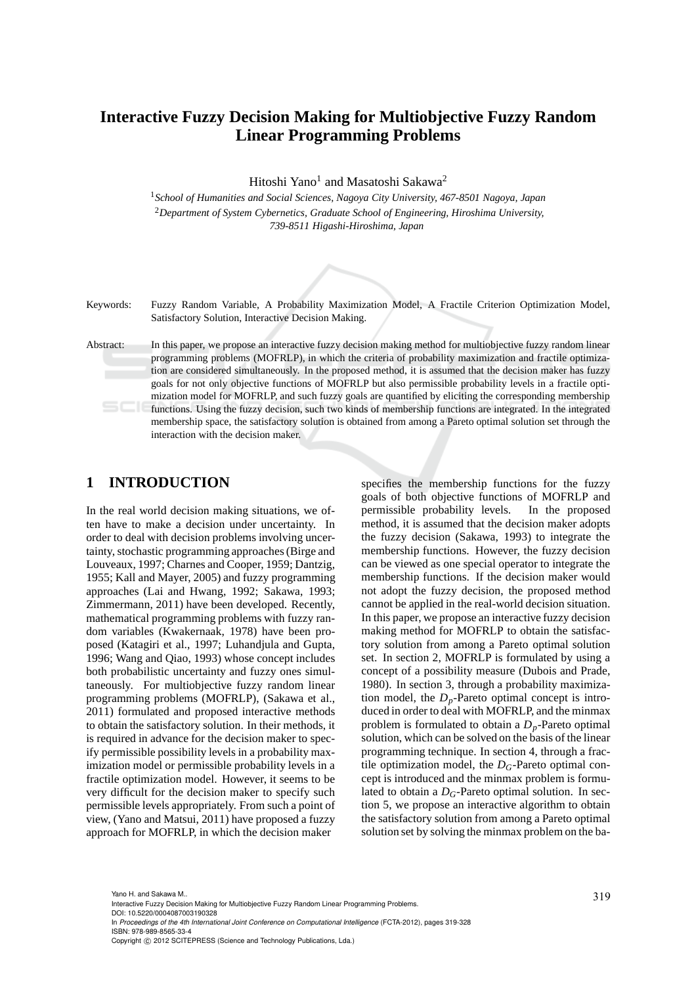# **Interactive Fuzzy Decision Making for Multiobjective Fuzzy Random Linear Programming Problems**

Hitoshi Yano<sup>1</sup> and Masatoshi Sakawa<sup>2</sup>

<sup>1</sup>*School of Humanities and Social Sciences, Nagoya City University, 467-8501 Nagoya, Japan* <sup>2</sup>*Department of System Cybernetics, Graduate School of Engineering, Hiroshima University, 739-8511 Higashi-Hiroshima, Japan*



Keywords: Fuzzy Random Variable, A Probability Maximization Model, A Fractile Criterion Optimization Model, Satisfactory Solution, Interactive Decision Making.

Abstract: In this paper, we propose an interactive fuzzy decision making method for multiobjective fuzzy random linear programming problems (MOFRLP), in which the criteria of probability maximization and fractile optimization are considered simultaneously. In the proposed method, it is assumed that the decision maker has fuzzy goals for not only objective functions of MOFRLP but also permissible probability levels in a fractile optimization model for MOFRLP, and such fuzzy goals are quantified by eliciting the corresponding membership functions. Using the fuzzy decision, such two kinds of membership functions are integrated. In the integrated membership space, the satisfactory solution is obtained from among a Pareto optimal solution set through the interaction with the decision maker.

### **1 INTRODUCTION**

In the real world decision making situations, we often have to make a decision under uncertainty. In order to deal with decision problems involving uncertainty, stochastic programming approaches (Birge and Louveaux, 1997; Charnes and Cooper, 1959; Dantzig, 1955; Kall and Mayer, 2005) and fuzzy programming approaches (Lai and Hwang, 1992; Sakawa, 1993; Zimmermann, 2011) have been developed. Recently, mathematical programming problems with fuzzy random variables (Kwakernaak, 1978) have been proposed (Katagiri et al., 1997; Luhandjula and Gupta, 1996; Wang and Qiao, 1993) whose concept includes both probabilistic uncertainty and fuzzy ones simultaneously. For multiobjective fuzzy random linear programming problems (MOFRLP), (Sakawa et al., 2011) formulated and proposed interactive methods to obtain the satisfactory solution. In their methods, it is required in advance for the decision maker to specify permissible possibility levels in a probability maximization model or permissible probability levels in a fractile optimization model. However, it seems to be very difficult for the decision maker to specify such permissible levels appropriately. From such a point of view, (Yano and Matsui, 2011) have proposed a fuzzy approach for MOFRLP, in which the decision maker

specifies the membership functions for the fuzzy goals of both objective functions of MOFRLP and permissible probability levels. In the proposed method, it is assumed that the decision maker adopts the fuzzy decision (Sakawa, 1993) to integrate the membership functions. However, the fuzzy decision can be viewed as one special operator to integrate the membership functions. If the decision maker would not adopt the fuzzy decision, the proposed method cannot be applied in the real-world decision situation. In this paper, we propose an interactive fuzzy decision making method for MOFRLP to obtain the satisfactory solution from among a Pareto optimal solution set. In section 2, MOFRLP is formulated by using a concept of a possibility measure (Dubois and Prade, 1980). In section 3, through a probability maximization model, the  $D_p$ -Pareto optimal concept is introduced in order to deal with MOFRLP, and the minmax problem is formulated to obtain a  $D_p$ -Pareto optimal solution, which can be solved on the basis of the linear programming technique. In section 4, through a fractile optimization model, the  $D<sub>G</sub>$ -Pareto optimal concept is introduced and the minmax problem is formulated to obtain a *DG*-Pareto optimal solution. In section 5, we propose an interactive algorithm to obtain the satisfactory solution from among a Pareto optimal solution set by solving the minmax problem on the ba-

<sup>319</sup> Yano H. and Sakawa M.. Interactive Fuzzy Decision Making for Multiobjective Fuzzy Random Linear Programming Problems. DOI: 10.5220/0004087003190328

In *Proceedings of the 4th International Joint Conference on Computational Intelligence* (FCTA-2012), pages 319-328 ISBN: 978-989-8565-33-4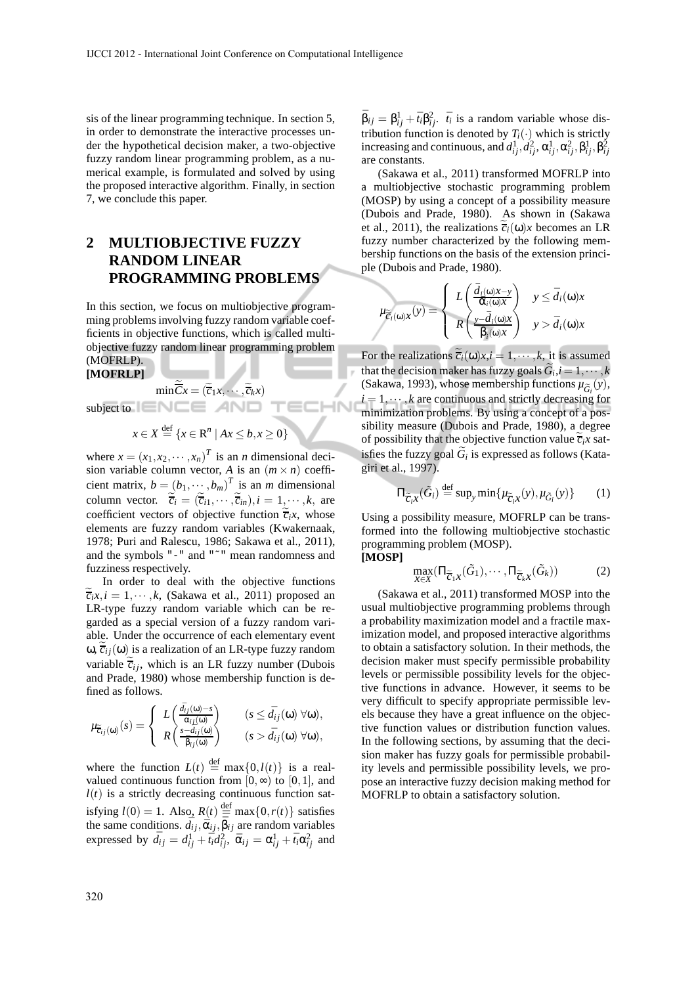sis of the linear programming technique. In section 5, in order to demonstrate the interactive processes under the hypothetical decision maker, a two-objective fuzzy random linear programming problem, as a numerical example, is formulated and solved by using the proposed interactive algorithm. Finally, in section 7, we conclude this paper.

## **2 MULTIOBJECTIVE FUZZY RANDOM LINEAR PROGRAMMING PROBLEMS**

In this section, we focus on multiobjective programming problems involving fuzzy random variable coefficients in objective functions, which is called multiobjective fuzzy random linear programming problem (MOFRLP).

#### **[MOFRLP]**

$$
\min \overline{C}x = (\overline{\overline{c}}_1x, \cdots, \overline{\overline{c}}_kx)
$$

TECHN

subject to

$$
x \in X \stackrel{\text{def}}{=} \{ x \in \mathbb{R}^n \mid Ax \leq b, x \geq 0 \}
$$

where  $x = (x_1, x_2, \dots, x_n)^T$  is an *n* dimensional decision variable column vector, *A* is an  $(m \times n)$  coefficient matrix,  $b = (b_1, \dots, b_m)^T$  is an *m* dimensional column vector.  $\overline{c_i} = (\overline{c_{i1}}, \dots, \overline{c_{in}}), i = 1, \dots, k$ , are coefficient vectors of objective function  $\overline{c}_i x$ , whose elements are fuzzy random variables (Kwakernaak, 1978; Puri and Ralescu, 1986; Sakawa et al., 2011), and the symbols "-" and "˜" mean randomness and fuzziness respectively.

In order to deal with the objective functions  $\tilde{\overline{c}}_i x, i = 1, \dots, k$ , (Sakawa et al., 2011) proposed an LR-type fuzzy random variable which can be regarded as a special version of a fuzzy random variable. Under the occurrence of each elementary event ω,  $\overline{c}_{ij}$ (ω) is a realization of an LR-type fuzzy random variable  $\tilde{\vec{c}}_{ij}$ , which is an LR fuzzy number (Dubois and Prade, 1980) whose membership function is defined as follows.

$$
\mu_{\widetilde{c}_{ij}(\omega)}(s) = \begin{cases} L\left(\frac{\bar{d}_{ij}(\omega) - s}{\bar{\alpha}_{ij}(\omega)}\right) & (s \le \bar{d}_{ij}(\omega) \forall \omega), \\ R\left(\frac{s - \bar{d}_{ij}(\omega)}{\bar{\beta}_{ij}(\omega)}\right) & (s > \bar{d}_{ij}(\omega) \forall \omega), \end{cases}
$$

where the function  $L(t) \stackrel{\text{def}}{=} \max\{0, l(t)\}\$ is a realvalued continuous function from  $[0, \infty)$  to  $[0, 1]$ , and  $l(t)$  is a strictly decreasing continuous function satisfying  $l(0) = 1$ . Also,  $R(t) \stackrel{\text{def}}{=} \max\{0, r(t)\}$  satisfies the same conditions.  $\bar{d}_{ij}, \bar{\alpha}_{ij}, \bar{\beta}_{ij}$  are random variables expressed by  $\bar{d}_{ij} = d_{ij}^{1} + \bar{t}_i d_{ij}^2$ ,  $\bar{\alpha}_{ij} = \alpha_{ij}^1 + \bar{t}_i \alpha_{ij}^2$  and

 $\bar{\beta}_{ij} = \beta_{ij}^1 + \bar{t}_i \beta_{ij}^2$ .  $\bar{t}_i$  is a random variable whose distribution function is denoted by  $T_i(\cdot)$  which is strictly increasing and continuous, and  $d_{ij}^1, d_{ij}^2, \alpha_{ij}^1, \alpha_{ij}^2, \beta_{ij}^1, \beta_{ij}^2$ are constants.

(Sakawa et al., 2011) transformed MOFRLP into a multiobjective stochastic programming problem (MOSP) by using a concept of a possibility measure (Dubois and Prade, 1980). As shown in (Sakawa et al., 2011), the realizations  $\tilde{\vec{c}}_i(\omega)x$  becomes an LR fuzzy number characterized by the following membership functions on the basis of the extension principle (Dubois and Prade, 1980).

$$
\mu_{\widetilde{\mathcal{C}}_i(\omega),X}(y) = \begin{cases} L\left(\frac{\bar{d}_i(\omega),X-y}{\tilde{\alpha}_i(\omega),X}\right) & y \leq \bar{d}_i(\omega),\\ R\left(\frac{y-\bar{d}_i(\omega),X}{\tilde{\beta}_i(\omega),X}\right) & y > \bar{d}_i(\omega), \end{cases}
$$

For the realizations  $\tilde{\vec{c}}_i(\omega)x, i = 1, \dots, k$ , it is assumed that the decision maker has fuzzy goals  $G_i$ ,  $i = 1, \dots, k$ (Sakawa, 1993), whose membership functions  $\mu_{\tilde{G}_i}(y)$ ,  $i = 1, \dots, k$  are continuous and strictly decreasing for minimization problems. By using a concept of a possibility measure (Dubois and Prade, 1980), a degree of possibility that the objective function value  $\overline{c}_i x$  satisfies the fuzzy goal  $G_i$  is expressed as follows (Katagiri et al., 1997).

$$
\Pi_{\widetilde{C}_i X}(\widetilde{G}_i) \stackrel{\text{def}}{=} \sup_{y} \min \{ \mu_{\widetilde{C}_i X}(y), \mu_{\widetilde{G}_i}(y) \} \tag{1}
$$

Using a possibility measure, MOFRLP can be transformed into the following multiobjective stochastic programming problem (MOSP). **[MOSP]**

$$
\max_{X \in X} (\Pi_{\widetilde{C}_1 X}(\widetilde{G}_1), \cdots, \Pi_{\widetilde{C}_k X}(\widetilde{G}_k)) \tag{2}
$$

(Sakawa et al., 2011) transformed MOSP into the usual multiobjective programming problems through a probability maximization model and a fractile maximization model, and proposed interactive algorithms to obtain a satisfactory solution. In their methods, the decision maker must specify permissible probability levels or permissible possibility levels for the objective functions in advance. However, it seems to be very difficult to specify appropriate permissible levels because they have a great influence on the objective function values or distribution function values. In the following sections, by assuming that the decision maker has fuzzy goals for permissible probability levels and permissible possibility levels, we propose an interactive fuzzy decision making method for MOFRLP to obtain a satisfactory solution.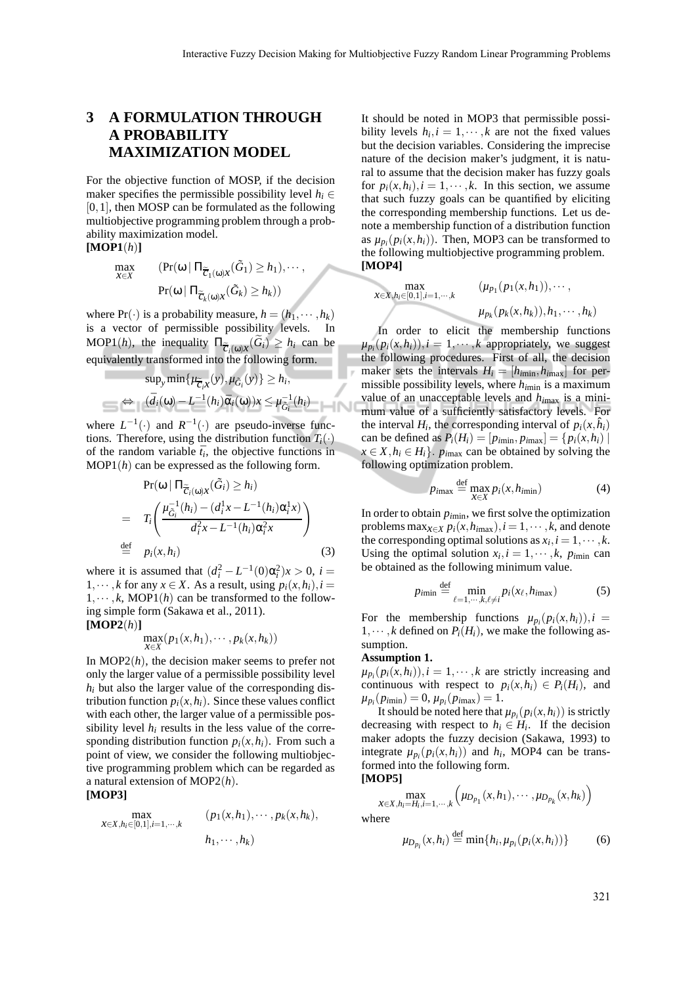## **3 A FORMULATION THROUGH A PROBABILITY MAXIMIZATION MODEL**

For the objective function of MOSP, if the decision maker specifies the permissible possibility level  $h_i \in$ [0,1], then MOSP can be formulated as the following multiobjective programming problem through a probability maximization model. **[MOP1**(*h*)**]**

$$
\max_{X \in X} \qquad (\Pr(\omega \mid \Pi_{\widetilde{C}_1(\omega), X}(\widetilde{G}_1) \ge h_1), \cdots, \\ \Pr(\omega \mid \Pi_{\widetilde{C}_k(\omega), X}(\widetilde{G}_k) \ge h_k))
$$

where  $Pr(\cdot)$  is a probability measure,  $h = (h_1, \dots, h_k)$ is a vector of permissible possibility levels. In  $\text{MOP1}(h)$ , the inequality  $\Pi_{\widetilde{C}_i(\omega),X}(G_i) \geq h_i$  can be equivalently transformed into the following form.

$$
\sup_{y} \min \{ \mu_{\widetilde{C}_i X}(y), \mu_{\widetilde{G}_i}(y) \} \ge h_i,
$$
  

$$
\Leftrightarrow (\widetilde{d}_i(\omega) - L^{-1}(h_i) \widetilde{\alpha}_i(\omega)) x \le \mu_{\widetilde{G}_i}^{-1}(h_i)
$$

where  $L^{-1}(\cdot)$  and  $R^{-1}(\cdot)$  are pseudo-inverse functions. Therefore, using the distribution function  $T_i(\cdot)$ of the random variable  $\bar{t}_i$ , the objective functions in MOP1(*h*) can be expressed as the following form.

$$
\Pr(\omega | \Pi_{\widetilde{C}_i(\omega)x}(\widetilde{G}_i) \ge h_i)
$$
\n
$$
= T_i \left( \frac{\mu_{\widetilde{G}_i}^{-1}(h_i) - (d_i^1 x - L^{-1}(h_i) \alpha_i^1 x)}{d_i^2 x - L^{-1}(h_i) \alpha_i^2 x} \right)
$$
\n
$$
\stackrel{\text{def}}{=} p_i(x, h_i) \tag{3}
$$

where it is assumed that  $(d_i^2 - L^{-1}(0)\alpha_i^2)x > 0$ , *i* = 1,  $\dots$ , *k* for any *x*  $\in$  *X*. As a result, using  $p_i(x, h_i)$ , *i* =  $1, \dots, k$ , MOP1(*h*) can be transformed to the following simple form (Sakawa et al., 2011). **[MOP2**(*h*)**]**

$$
\max_{x \in X} (p_1(x, h_1), \cdots, p_k(x, h_k))
$$

In MOP2(*h*), the decision maker seems to prefer not only the larger value of a permissible possibility level  $h_i$  but also the larger value of the corresponding distribution function  $p_i(x, h_i)$ . Since these values conflict with each other, the larger value of a permissible possibility level  $h_i$  results in the less value of the corresponding distribution function  $p_i(x, h_i)$ . From such a point of view, we consider the following multiobjective programming problem which can be regarded as a natural extension of MOP2(*h*).

### **[MOP3]**

$$
\max_{x \in X, h_i \in [0,1], i=1,\dots,k} (p_1(x, h_1), \dots, p_k(x, h_k),
$$
  

$$
h_1, \dots, h_k)
$$

It should be noted in MOP3 that permissible possibility levels  $h_i$ ,  $i = 1, \dots, k$  are not the fixed values but the decision variables. Considering the imprecise nature of the decision maker's judgment, it is natural to assume that the decision maker has fuzzy goals for  $p_i(x, h_i)$ ,  $i = 1, \dots, k$ . In this section, we assume that such fuzzy goals can be quantified by eliciting the corresponding membership functions. Let us denote a membership function of a distribution function as  $\mu_{p_i}(p_i(x, h_i))$ . Then, MOP3 can be transformed to the following multiobjective programming problem. **[MOP4]**

$$
\max_{x \in X, h_i \in [0,1], i=1,\dots,k} \qquad (\mu_{p_1}(p_1(x,h_1)), \dots, \mu_{p_k}(p_k(x,h_k)), h_1, \dots, h_k)
$$

In order to elicit the membership functions  $\mu_{p_i}(p_i(x, h_i)), i = 1, \cdots, k$  appropriately, we suggest the following procedures. First of all, the decision maker sets the intervals  $H_i = [h_{imin}, h_{imax}]$  for permissible possibility levels, where *hi*min is a maximum value of an unacceptable levels and *hi*max is a minimum value of a sufficiently satisfactory levels. For the interval  $H_i$ , the corresponding interval of  $p_i(x, \hat{h}_i)$ can be defined as  $P_i(H_i) = [p_{imin}, p_{imax}] = \{p_i(x, h_i) |$  $x \in X, h_i \in H_i$ . *p*<sub>imax</sub> can be obtained by solving the following optimization problem.

$$
p_{i\max} \stackrel{\text{def}}{=} \max_{X \in X} p_i(x, h_{i\min})
$$
 (4)

In order to obtain  $p_{\text{imin}}$ , we first solve the optimization problems max $x \in X$   $p_i(x, h_{imax})$ ,  $i = 1, \dots, k$ , and denote the corresponding optimal solutions as  $x_i$ ,  $i = 1, \dots, k$ . Using the optimal solution  $x_i$ ,  $i = 1, \dots, k$ ,  $p_{imin}$  can be obtained as the following minimum value.

$$
p_{i\min} \stackrel{\text{def}}{=} \min_{\ell=1,\cdots,k,\ell\neq i} p_i(x_\ell, h_{i\max}) \tag{5}
$$

For the membership functions  $\mu_{p_i}(p_i(x, h_i)), i =$ 1,  $\dots$ , *k* defined on  $P_i(H_i)$ , we make the following assumption.

#### **Assumption 1.**

 $\mu_{p_i}(p_i(x, h_i)), i = 1, \cdots, k$  are strictly increasing and continuous with respect to  $p_i(x, h_i) \in P_i(H_i)$ , and  $\mu_{p_i}(p_{imin}) = 0, \mu_{p_i}(p_{imax}) = 1.$ 

It should be noted here that  $\mu_{p_i}(p_i(x, h_i))$  is strictly decreasing with respect to  $h_i \in H_i$ . If the decision maker adopts the fuzzy decision (Sakawa, 1993) to integrate  $\mu_{p_i}(p_i(x, h_i))$  and  $h_i$ , MOP4 can be transformed into the following form.

**[MOP5]**

$$
\max_{x \in X, h_i = H_i, i=1,\cdots,k} \left( \mu_{D_{p_1}}(x, h_1), \cdots, \mu_{D_{p_k}}(x, h_k) \right)
$$

where

$$
\mu_{D_{p_i}}(x, h_i) \stackrel{\text{def}}{=} \min\{h_i, \mu_{p_i}(p_i(x, h_i))\} \tag{6}
$$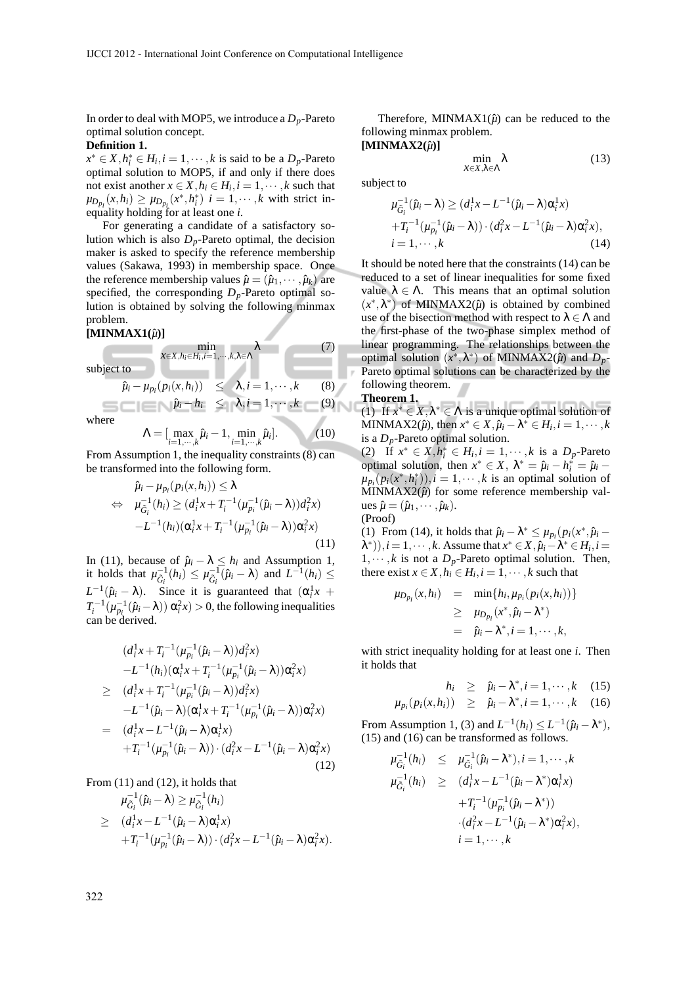In order to deal with MOP5, we introduce a  $D_p$ -Pareto optimal solution concept.

### **Definition 1.**

 $x^* \in X$ ,  $h_i^* \in H_i$ ,  $i = 1, \dots, k$  is said to be a  $D_p$ -Pareto optimal solution to MOP5, if and only if there does not exist another  $x \in X$ ,  $h_i \in H_i$ ,  $i = 1, \dots, k$  such that  $\mu_{D_{p_i}}(x, h_i) \ge \mu_{D_{p_i}}(x^*, h_i^*)$  *i* = 1, ··· , *k* with strict inequality holding for at least one *i*.

For generating a candidate of a satisfactory solution which is also  $D_p$ -Pareto optimal, the decision maker is asked to specify the reference membership values (Sakawa, 1993) in membership space. Once the reference membership values  $\hat{\mu} = (\hat{\mu}_1, \dots, \hat{\mu}_k)$  are specified, the corresponding  $D_p$ -Pareto optimal solution is obtained by solving the following minmax problem.

min *x*∈*X*,*hi*∈*H<sup>i</sup>* ,*i*=1,···,*k*,λ∈Λ

**Service** 

#### **[MINMAX1(***µ*ˆ**)]**

subject to

$$
\mathcal{L}_{\mathcal{A}}(t)
$$

$$
\hat{\mu}_i - \mu_{p_i}(p_i(x, h_i)) \leq \lambda, i = 1, \cdots, k \quad (8)
$$
  
\n
$$
\hat{\mu}_i - h_i \leq \lambda, i = 1, \cdots, k \quad (9)
$$

where

$$
\Lambda = \left[\max_{i=1,\cdots,k} \hat{\mu}_i - 1, \min_{i=1,\cdots,k} \hat{\mu}_i\right].
$$
 (10)

From Assumption 1, the inequality constraints  $(8)$  can be transformed into the following form.

$$
\hat{\mu}_i - \mu_{p_i}(p_i(x, h_i)) \le \lambda \n\Leftrightarrow \mu_{\tilde{G}_i}^{-1}(h_i) \ge (d_i^1 x + T_i^{-1} (\mu_{p_i}^{-1}(\hat{\mu}_i - \lambda)) d_i^2 x) \n-L^{-1}(h_i) (\alpha_i^1 x + T_i^{-1} (\mu_{p_i}^{-1}(\hat{\mu}_i - \lambda)) \alpha_i^2 x)
$$
\n(11)

In (11), because of  $\hat{\mu}_i - \lambda \leq h_i$  and Assumption 1, it holds that  $\mu_{\tilde{G}_i}^{-1}(h_i) \leq \mu_{\tilde{G}_i}^{-1}(\hat{\mu}_i - \lambda)$  and  $L^{-1}(h_i) \leq$  $L^{-1}(\hat{\mu}_i - \lambda)$ . Since it is guaranteed that  $(\alpha_i^1 x + \lambda_i^2)$  $T_i^{-1}(\mu_{p_i}^{-1}(\hat{\mu}_i-\lambda)) \alpha_i^2 x$  > 0, the following inequalities can be derived.

$$
(d_i^1 x + T_i^{-1} (\mu_{p_i}^{-1} (\hat{\mu}_i - \lambda)) d_i^2 x)
$$
  
\n
$$
-L^{-1} (h_i) (\alpha_i^1 x + T_i^{-1} (\mu_{p_i}^{-1} (\hat{\mu}_i - \lambda)) \alpha_i^2 x)
$$
  
\n
$$
\geq (d_i^1 x + T_i^{-1} (\mu_{p_i}^{-1} (\hat{\mu}_i - \lambda)) d_i^2 x)
$$
  
\n
$$
-L^{-1} (\hat{\mu}_i - \lambda) (\alpha_i^1 x + T_i^{-1} (\mu_{p_i}^{-1} (\hat{\mu}_i - \lambda)) \alpha_i^2 x)
$$
  
\n
$$
= (d_i^1 x - L^{-1} (\hat{\mu}_i - \lambda) \alpha_i^1 x)
$$
  
\n
$$
+T_i^{-1} (\mu_{p_i}^{-1} (\hat{\mu}_i - \lambda)) \cdot (d_i^2 x - L^{-1} (\hat{\mu}_i - \lambda) \alpha_i^2 x)
$$
  
\n(12)

From (11) and (12), it holds that

$$
\mu_{\tilde{G}_i}^{-1}(\hat{\mu}_i - \lambda) \ge \mu_{\tilde{G}_i}^{-1}(h_i)
$$
\n
$$
\ge (d_i^1 x - L^{-1}(\hat{\mu}_i - \lambda)\alpha_i^1 x)
$$
\n
$$
+ T_i^{-1}(\mu_{p_i}^{-1}(\hat{\mu}_i - \lambda)) \cdot (d_i^2 x - L^{-1}(\hat{\mu}_i - \lambda)\alpha_i^2 x).
$$

Therefore, MINMAX1 $(\hat{\mu})$  can be reduced to the following minmax problem.  $[MINMAX2(\hat{\mu})]$ 

$$
\min_{X \in X, \lambda \in \Lambda} \lambda \tag{13}
$$

subject to

$$
\mu_{\tilde{G}_i}^{-1}(\hat{\mu}_i - \lambda) \ge (d_i^1 x - L^{-1}(\hat{\mu}_i - \lambda)\alpha_i^1 x) \n+ T_i^{-1}(\mu_{p_i}^{-1}(\hat{\mu}_i - \lambda)) \cdot (d_i^2 x - L^{-1}(\hat{\mu}_i - \lambda)\alpha_i^2 x), \ni = 1, \cdots, k
$$
\n(14)

It should be noted here that the constraints (14) can be reduced to a set of linear inequalities for some fixed value  $\lambda \in \Lambda$ . This means that an optimal solution  $(x^*, \lambda^*)$  of MINMAX2 $(\hat{\mu})$  is obtained by combined use of the bisection method with respect to  $\lambda \in \Lambda$  and the first-phase of the two-phase simplex method of linear programming. The relationships between the optimal solution  $(x^*, \lambda^*)$  of MINMAX2( $\hat{\mu}$ ) and  $D_p$ -Pareto optimal solutions can be characterized by the following theorem.

**Theorem 1.**

 $(7)$ 

(1) If  $x^* \in X, \lambda^* \in \Lambda$  is a unique optimal solution of  $MINMAX2(\hat{\mu})$ , then  $x^* \in X$ ,  $\hat{\mu}_i - \lambda^* \in H_i$ ,  $i = 1, \dots, k$ is a *Dp*-Pareto optimal solution.

(2) If  $x^* \in X, h_i^* \in H_i, i = 1, \dots, k$  is a  $D_p$ -Pareto optimal solution, then  $x^* \in X$ ,  $\lambda^* = \hat{\mu}_i - h_i^* = \hat{\mu}_i \mu_{p_i}(p_i(x^*, h_i^*)), i = 1, \cdots, k$  is an optimal solution of  $MINMAX2(\hat{\mu})$  for some reference membership val $ues \hat{\mu} = (\hat{\mu}_1, \cdots, \hat{\mu}_k).$ (Proof)

(1) From (14), it holds that  $\hat{\mu}_i - \lambda^* \leq \mu_{p_i}(p_i(x^*, \hat{\mu}_i (\lambda^*), i = 1, \dots, k$ . Assume that  $x^* \in X, \hat{\mu}_i - \lambda^* \in H_i, i = 1$  $1, \dots, k$  is not a  $D_p$ -Pareto optimal solution. Then, there exist  $x \in X$ ,  $h_i \in H_i$ ,  $i = 1, \dots, k$  such that

$$
\mu_{D_{p_i}}(x,h_i) = \min\{h_i,\mu_{p_i}(p_i(x,h_i))\}
$$
  
\n
$$
\geq \mu_{D_{p_i}}(x^*,\hat{\mu}_i - \lambda^*)
$$
  
\n
$$
= \hat{\mu}_i - \lambda^*, i = 1, \cdots, k,
$$

with strict inequality holding for at least one *i*. Then it holds that

$$
h_i \geq \hat{\mu}_i - \lambda^*, i = 1, \cdots, k \quad (15)
$$

$$
\mu_{p_i}(p_i(x, h_i)) \geq \hat{\mu}_i - \lambda^*, i = 1, \cdots, k \quad (16)
$$

From Assumption 1, (3) and  $L^{-1}(h_i) \leq L^{-1}(\hat{\mu}_i - \lambda^*),$ (15) and (16) can be transformed as follows.

$$
\mu_{\tilde{G}_i}^{-1}(h_i) \leq \mu_{\tilde{G}_i}^{-1}(\hat{\mu}_i - \lambda^*), i = 1, \dots, k
$$
  
\n
$$
\mu_{\tilde{G}_i}^{-1}(h_i) \geq (d_i^1 x - L^{-1}(\hat{\mu}_i - \lambda^*) \alpha_i^1 x)
$$
  
\n
$$
+ T_i^{-1}(\mu_{p_i}^{-1}(\hat{\mu}_i - \lambda^*))
$$
  
\n
$$
\cdot (d_i^2 x - L^{-1}(\hat{\mu}_i - \lambda^*) \alpha_i^2 x),
$$
  
\n
$$
i = 1, \dots, k
$$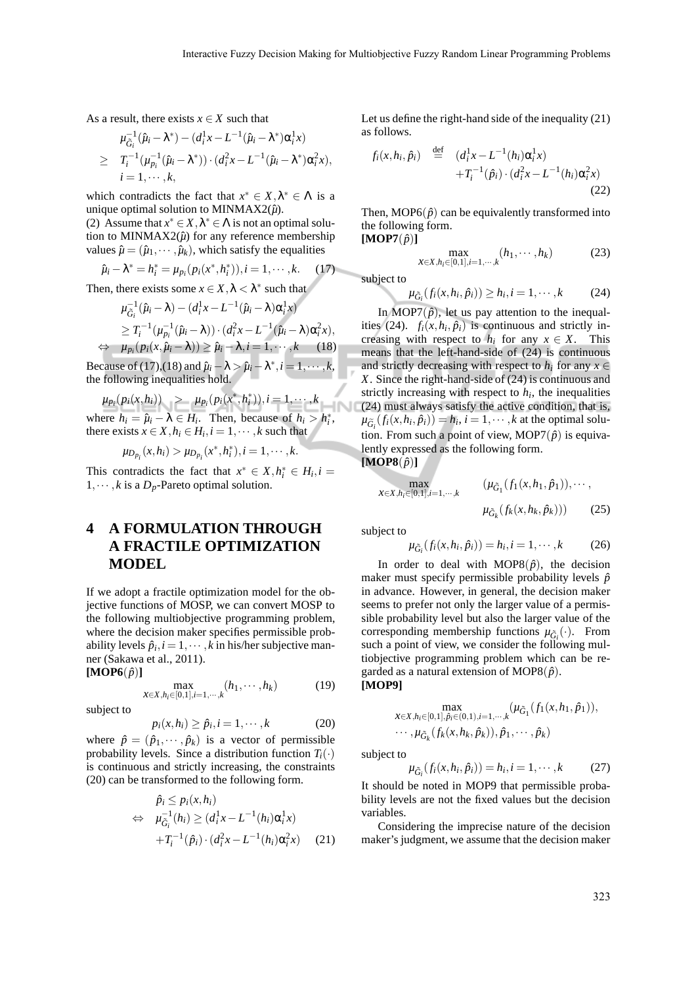As a result, there exists  $x \in X$  such that

$$
\mu_{\tilde{G}_i}^{-1}(\hat{\mu}_i - \lambda^*) - (d_i^1 x - L^{-1}(\hat{\mu}_i - \lambda^*) \alpha_i^1 x)
$$
  
\n
$$
\geq T_i^{-1}(\mu_{p_i}^{-1}(\hat{\mu}_i - \lambda^*)) \cdot (d_i^2 x - L^{-1}(\hat{\mu}_i - \lambda^*) \alpha_i^2 x),
$$
  
\n
$$
i = 1, \dots, k,
$$

which contradicts the fact that  $x^* \in X, \lambda^* \in \Lambda$  is a unique optimal solution to MINMAX2 $(\hat{\mu})$ .

(2) Assume that  $x^* \in X$ ,  $\lambda^* \in \Lambda$  is not an optimal solution to MINMAX2 $(\hat{\mu})$  for any reference membership values  $\hat{\mu} = (\hat{\mu}_1, \dots, \hat{\mu}_k)$ , which satisfy the equalities

$$
\hat{\mu}_i - \lambda^* = h_i^* = \mu_{p_i}(p_i(x^*, h_i^*)), i = 1, \cdots, k. \tag{17}
$$

Then, there exists some  $x \in X, \lambda < \lambda^*$  such that

$$
\mu_{\tilde{G}_i}^{-1}(\hat{\mu}_i - \lambda) - (d_i^1 x - L^{-1}(\hat{\mu}_i - \lambda)\alpha_i^1 x)
$$
  
\n
$$
\geq T_i^{-1}(\mu_{p_i}^{-1}(\hat{\mu}_i - \lambda)) \cdot (d_i^2 x - L^{-1}(\hat{\mu}_i - \lambda)\alpha_i^2 x),
$$
  
\n
$$
\Leftrightarrow \mu_{p_i}(p_i(x, \hat{\mu}_i - \lambda)) \geq \hat{\mu}_i - \lambda, i = 1, \dots, k \quad (18)
$$

Because of (17),(18) and  $\hat{\mu}_i - \lambda > \hat{\mu}_i - \lambda^*, i = 1, \dots, k$ , the following inequalities hold.

 $\mu_{p_i}(p_i(x, h_i))$  >  $\mu_{p_i}(p_i(x^*, h_i^*)), i = 1, \cdots, k$ where  $h_i = \hat{\mu}_i - \lambda \in H_i$ . Then, because of  $h_i > h_i^*$ , there exists  $x \in X$ ,  $h_i \in H_i$ ,  $i = 1, \dots, k$  such that

$$
\mu_{D_{p_i}}(x, h_i) > \mu_{D_{p_i}}(x^*, h_i^*), i = 1, \cdots, k.
$$

This contradicts the fact that  $x^* \in X, h_i^* \in H_i, i =$  $1, \dots, k$  is a  $D_p$ -Pareto optimal solution.

## **4 A FORMULATION THROUGH A FRACTILE OPTIMIZATION MODEL**

If we adopt a fractile optimization model for the objective functions of MOSP, we can convert MOSP to the following multiobjective programming problem, where the decision maker specifies permissible probability levels  $\hat{p}_i$ ,  $i = 1, \dots, k$  in his/her subjective manner (Sakawa et al., 2011).  $[MOP6(\hat{p})]$ 

$$
\max_{x \in X, h_i \in [0,1], i=1,\cdots,k} (h_1, \cdots, h_k)
$$
 (19)

subject to

$$
p_i(x, h_i) \ge \hat{p}_i, i = 1, \cdots, k \tag{20}
$$

where  $\hat{p} = (\hat{p}_1, \dots, \hat{p}_k)$  is a vector of permissible probability levels. Since a distribution function  $T_i(\cdot)$ is continuous and strictly increasing, the constraints (20) can be transformed to the following form.

$$
\hat{p}_i \le p_i(x, h_i) \n\Leftrightarrow \mu_{\tilde{G}_i}^{-1}(h_i) \ge (d_i^1 x - L^{-1}(h_i) \alpha_i^1 x) \n+ T_i^{-1}(\hat{p}_i) \cdot (d_i^2 x - L^{-1}(h_i) \alpha_i^2 x)
$$
\n(21)

Let us define the right-hand side of the inequality (21) as follows.

$$
f_i(x, h_i, \hat{p}_i) \stackrel{\text{def}}{=} (d_i^1 x - L^{-1}(h_i) \alpha_i^1 x) + T_i^{-1}(\hat{p}_i) \cdot (d_i^2 x - L^{-1}(h_i) \alpha_i^2 x) \tag{22}
$$

Then, MOP6( $\hat{p}$ ) can be equivalently transformed into the following form.  $[\textbf{MOP7}(\hat{p})]$ 

$$
\max_{X \in X, h_i \in [0,1], i=1,\cdots,k} (h_1, \cdots, h_k)
$$
 (23)

subject to

$$
\mu_{\tilde{G}_i}(f_i(x, h_i, \hat{p}_i)) \ge h_i, i = 1, \cdots, k \tag{24}
$$

In MOP7 $(\hat{p})$ , let us pay attention to the inequalities (24).  $f_i(x, h_i, \hat{p}_i)$  is continuous and strictly increasing with respect to  $h_i$  for any  $x \in X$ . This means that the left-hand-side of (24) is continuous and strictly decreasing with respect to  $h_i$  for any  $x \in$ *X*. Since the right-hand-side of (24) is continuous and strictly increasing with respect to  $h_i$ , the inequalities (24) must always satisfy the active condition, that is,  $\mu_{\widetilde{G}_i}(f_i(x, h_i, \hat{p}_i)) = h_i, i = 1, \dots, k$  at the optimal solution. From such a point of view, MOP7 $(\hat{p})$  is equivalently expressed as the following form.  $[\textbf{MOP8}(\hat{p})]$ 

$$
\max_{x \in X, h_i \in [0,1], i=1,\cdots,k} \qquad (\mu_{\tilde{G}_1}(f_1(x, h_1, \hat{p}_1)), \cdots, \n\mu_{\tilde{G}_k}(f_k(x, h_k, \hat{p}_k))) \qquad (25)
$$

subject to

$$
\mu_{\tilde{G}_i}(f_i(x, h_i, \hat{p}_i)) = h_i, i = 1, \cdots, k \tag{26}
$$

In order to deal with MOP8 $(\hat{p})$ , the decision maker must specify permissible probability levels  $\hat{p}$ in advance. However, in general, the decision maker seems to prefer not only the larger value of a permissible probability level but also the larger value of the corresponding membership functions  $\mu_{\tilde{G}_i}(\cdot)$ . From such a point of view, we consider the following multiobjective programming problem which can be regarded as a natural extension of MOP8( $\hat{p}$ ). **[MOP9]**

$$
\max_{x \in X, h_i \in [0,1], \hat{p}_i \in (0,1), i=1,\cdots,k} (\mu_{\tilde{G}_1}(f_1(x, h_1, \hat{p}_1)),
$$

$$
\cdots, \mu_{\tilde{G}_k}(f_k(x, h_k, \hat{p}_k)), \hat{p}_1, \cdots, \hat{p}_k)
$$

subject to

$$
\mu_{\tilde{G}_i}(f_i(x, h_i, \hat{p}_i)) = h_i, i = 1, \cdots, k \tag{27}
$$

It should be noted in MOP9 that permissible probability levels are not the fixed values but the decision variables.

Considering the imprecise nature of the decision maker's judgment, we assume that the decision maker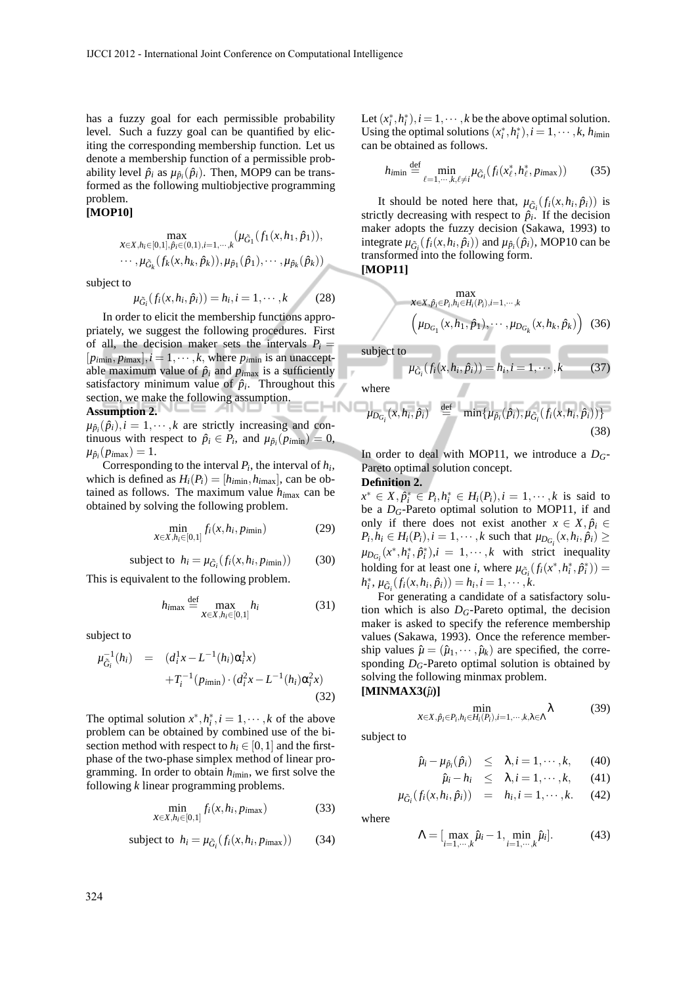has a fuzzy goal for each permissible probability level. Such a fuzzy goal can be quantified by eliciting the corresponding membership function. Let us denote a membership function of a permissible probability level  $\hat{p}_i$  as  $\mu_{\hat{p}_i}(\hat{p}_i)$ . Then, MOP9 can be transformed as the following multiobjective programming problem.

#### **[MOP10]**

$$
\max_{x \in X, h_i \in [0,1], \hat{p}_i \in (0,1), i=1,\dots,k} (\mu_{\tilde{G}_1}(f_1(x, h_1, \hat{p}_1)), \dots, \mu_{\tilde{G}_k}(f_k(x, h_k, \hat{p}_k)), \mu_{\hat{p}_1}(\hat{p}_1), \dots, \mu_{\hat{p}_k}(\hat{p}_k))
$$

subject to

$$
\mu_{\tilde{G}_i}(f_i(x, h_i, \hat{p}_i)) = h_i, i = 1, \cdots, k \tag{28}
$$

In order to elicit the membership functions appropriately, we suggest the following procedures. First of all, the decision maker sets the intervals  $P_i$  =  $[p_{\text{imin}}, p_{\text{imax}}], i = 1, \cdots, k$ , where  $p_{\text{imin}}$  is an unacceptable maximum value of  $\hat{p}_i$  and  $p_{imax}$  is a sufficiently satisfactory minimum value of  $\hat{p}_i$ . Throughout this section, we make the following assumption. **INC Assumption 2.**

 $\mu_{\hat{p}_i}(\hat{p}_i), i = 1, \cdots, k$  are strictly increasing and continuous with respect to  $\hat{p}_i \in P_i$ , and  $\mu_{\hat{p}_i}(p_{i_{\text{min}}}) = 0$ ,  $\mu_{\hat{p}_i}(p_{i_{max}}) = 1.$ 

Corresponding to the interval  $P_i$ , the interval of  $h_i$ , which is defined as  $H_i(P_i) = [h_{imin}, h_{imax}]$ , can be obtained as follows. The maximum value *hi*max can be obtained by solving the following problem.

$$
\min_{x \in X, h_i \in [0,1]} f_i(x, h_i, p_{i\min}) \tag{29}
$$

subject to 
$$
h_i = \mu_{\tilde{G}_i}(f_i(x, h_i, p_{i\min}))
$$
 (30)

This is equivalent to the following problem.

$$
h_{\text{imax}} \stackrel{\text{def}}{=} \max_{X \in X, h_i \in [0,1]} h_i \tag{31}
$$

subject to

$$
\mu_{\tilde{G}_i}^{-1}(h_i) = (d_i^1 x - L^{-1}(h_i)\alpha_i^1 x) \n+ T_i^{-1}(p_{i\min}) \cdot (d_i^2 x - L^{-1}(h_i)\alpha_i^2 x)
$$
\n(32)

The optimal solution  $x^*, h_i^*, i = 1, \dots, k$  of the above problem can be obtained by combined use of the bisection method with respect to  $h_i \in [0,1]$  and the firstphase of the two-phase simplex method of linear programming. In order to obtain *hi*min, we first solve the following *k* linear programming problems.

$$
\min_{\substack{x \in X, h_i \in [0,1]}} f_i(x, h_i, p_{i\text{max}}) \tag{33}
$$

subject to 
$$
h_i = \mu_{\tilde{G}_i}(f_i(x, h_i, p_{i\text{max}}))
$$
 (34)

Let  $(x_i^*, h_i^*), i = 1, \dots, k$  be the above optimal solution. Using the optimal solutions  $(x_i^*, h_i^*), i = 1, \dots, k, h_{\text{min}}$ can be obtained as follows.

$$
h_{\text{imin}} \stackrel{\text{def}}{=} \min_{\ell=1,\cdots,k,\ell\neq i} \mu_{\tilde{G}_i}(f_i(x_\ell^*,h_\ell^*,p_{\text{imax}})) \tag{35}
$$

It should be noted here that,  $\mu_{\tilde{G}_i}(f_i(x, h_i, \hat{p}_i))$  is strictly decreasing with respect to  $\hat{p}_i$ . If the decision maker adopts the fuzzy decision (Sakawa, 1993) to integrate  $\mu_{\tilde{G}_i}(f_i(x, h_i, \hat{p}_i))$  and  $\mu_{\hat{p}_i}(\hat{p}_i)$ , MOP10 can be transformed into the following form. **[MOP11]**

$$
\max_{x \in X, \hat{p}_i \in P_i, h_i \in H_i(P_i), i=1,\cdots,k} \left( \mu_{D_{G_1}}(x, h_1, \hat{p}_1), \cdots, \mu_{D_{G_k}}(x, h_k, \hat{p}_k) \right) (36)
$$

subject to

$$
\mu_{\tilde{G}_i}(f_i(x, h_i, \hat{p}_i)) = h_i, i = 1, \cdots, k \tag{37}
$$

where

$$
\mu_{D_{G_i}}(x, h_i, \hat{p}_i) \stackrel{\text{def}}{=} \min{\{\mu_{\hat{p}_i}(\hat{p}_i), \mu_{\tilde{G}_i}(f_i(x, h_i, \hat{p}_i))\}}
$$
(38)

In order to deal with MOP11, we introduce a *DG*-Pareto optimal solution concept.

### **Definition 2.**

 $x^* \in X, \hat{p}_i^* \in P_i, h_i^* \in H_i(P_i), i = 1, \dots, k$  is said to be a *DG*-Pareto optimal solution to MOP11, if and only if there does not exist another  $x \in X, \hat{p}_i \in$  $P_i, h_i \in H_i(P_i), i = 1, \dots, k$  such that  $\mu_{D_{G_i}}(x, h_i, \hat{p}_i) \geq$  $\mu_{D_{G_i}}(x^*, h_i^*, \hat{p}_i^*)$ , *i* = 1, ···, *k* with strict inequality holding for at least one *i*, where  $\mu_{\tilde{G}_i}(f_i(x^*, h_i^*, \hat{p}_i^*))$  =  $h_i^*$ ,  $\mu_{\tilde{G}_i}(f_i(x, h_i, \hat{p}_i)) = h_i, i = 1, \dots, k.$ 

For generating a candidate of a satisfactory solution which is also  $D<sub>G</sub>$ -Pareto optimal, the decision maker is asked to specify the reference membership values (Sakawa, 1993). Once the reference membership values  $\hat{\mu} = (\hat{\mu}_1, \dots, \hat{\mu}_k)$  are specified, the corresponding *DG*-Pareto optimal solution is obtained by solving the following minmax problem.  $[MINMAX3(\hat{\mu})]$ 

$$
\min_{X \in X, \hat{p}_i \in P_i, h_i \in H_i(P_i), i=1,\cdots,k, \lambda \in \Lambda} \lambda
$$
 (39)

subject to

*µG*˜

$$
\hat{\mu}_i - \mu_{\hat{p}_i}(\hat{p}_i) \leq \lambda, i = 1, \cdots, k,
$$
 (40)

$$
\hat{\mu}_i - h_i \leq \lambda, i = 1, \cdots, k, \qquad (41)
$$

$$
u_{\tilde{G}_i}(f_i(x, h_i, \hat{p}_i)) = h_i, i = 1, \cdots, k. \quad (42)
$$

where

$$
\Lambda = [\max_{i=1,\cdots,k} \hat{\mu}_i - 1, \min_{i=1,\cdots,k} \hat{\mu}_i].
$$
 (43)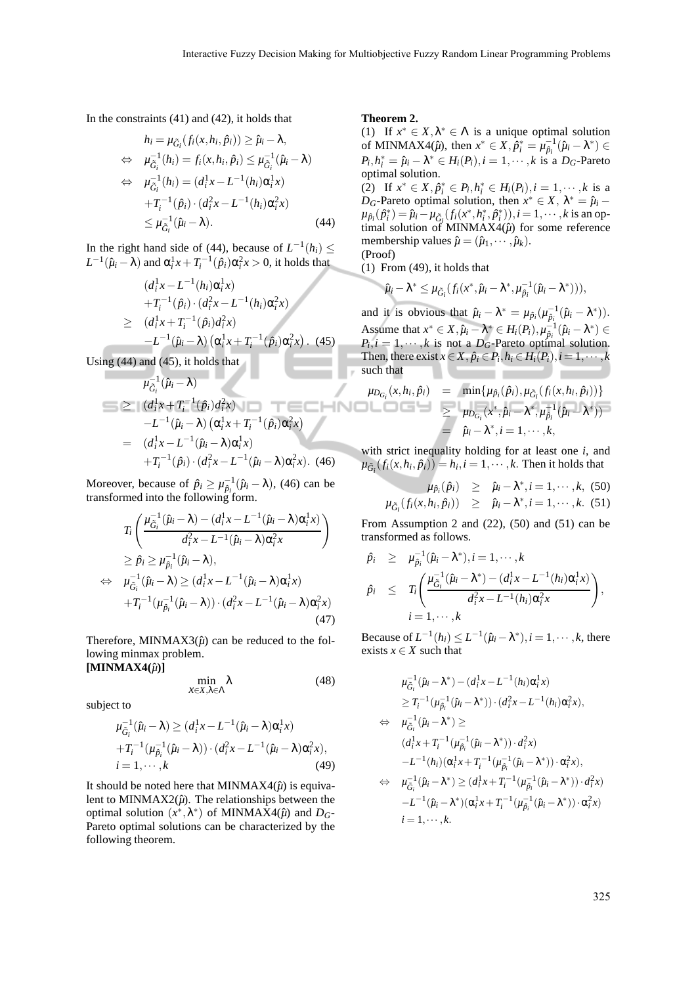In the constraints (41) and (42), it holds that

$$
h_i = \mu_{\tilde{G}_i}(f_i(x, h_i, \hat{p}_i)) \ge \hat{\mu}_i - \lambda,
$$
  
\n
$$
\Leftrightarrow \mu_{\tilde{G}_i}^{-1}(h_i) = f_i(x, h_i, \hat{p}_i) \le \mu_{\tilde{G}_i}^{-1}(\hat{\mu}_i - \lambda)
$$
  
\n
$$
\Leftrightarrow \mu_{\tilde{G}_i}^{-1}(h_i) = (d_i^1 x - L^{-1}(h_i) \alpha_i^1 x)
$$
  
\n
$$
+ T_i^{-1}(\hat{p}_i) \cdot (d_i^2 x - L^{-1}(h_i) \alpha_i^2 x)
$$
  
\n
$$
\le \mu_{\tilde{G}_i}^{-1}(\hat{\mu}_i - \lambda).
$$
 (44)

In the right hand side of (44), because of  $L^{-1}(h_i) \leq$  $L^{-1}(\hat{\mu}_i - \lambda)$  and  $\alpha_i^1 x + T_i^{-1}(\hat{p}_i) \alpha_i^2 x > 0$ , it holds that

$$
(d_i^1 x - L^{-1}(h_i)\alpha_i^1 x) +T_i^{-1}(\hat{p}_i) \cdot (d_i^2 x - L^{-1}(h_i)\alpha_i^2 x) \geq (d_i^1 x + T_i^{-1}(\hat{p}_i)d_i^2 x) -L^{-1}(\hat{\mu}_i - \lambda) (\alpha_i^1 x + T_i^{-1}(\hat{p}_i)\alpha_i^2 x) . (45)
$$

Using  $(44)$  and  $(45)$ , it holds that

$$
\mu_{G_i}^{-1}(\hat{\mu}_i - \lambda)
$$
\n
$$
\geq (d_i^1 x + T_i^{-1}(\hat{p}_i) d_i^2 x)
$$
\n
$$
-L^{-1}(\hat{\mu}_i - \lambda) (\alpha_i^1 x + T_i^{-1}(\hat{p}_i) \alpha_i^2 x)
$$
\n
$$
= (d_i^1 x - L^{-1}(\hat{\mu}_i - \lambda) \alpha_i^1 x)
$$
\n
$$
+T_i^{-1}(\hat{p}_i) \cdot (d_i^2 x - L^{-1}(\hat{\mu}_i - \lambda) \alpha_i^2 x). \quad (46)
$$

Moreover, because of  $\hat{p}_i \ge \mu_{\hat{p}_i}^{-1}(\hat{\mu}_i - \lambda)$ , (46) can be transformed into the following form.

$$
T_i \left( \frac{\mu_{\tilde{G}_i}^{-1} (\hat{\mu}_i - \lambda) - (d_i^1 x - L^{-1} (\hat{\mu}_i - \lambda) \alpha_i^1 x)}{d_i^2 x - L^{-1} (\hat{\mu}_i - \lambda) \alpha_i^2 x} \right)
$$
  
\n
$$
\geq \hat{p}_i \geq \mu_{\tilde{p}_i}^{-1} (\hat{\mu}_i - \lambda),
$$
  
\n
$$
\Leftrightarrow \mu_{\tilde{G}_i}^{-1} (\hat{\mu}_i - \lambda) \geq (d_i^1 x - L^{-1} (\hat{\mu}_i - \lambda) \alpha_i^1 x)
$$
  
\n
$$
+ T_i^{-1} (\mu_{\tilde{p}_i}^{-1} (\hat{\mu}_i - \lambda)) \cdot (d_i^2 x - L^{-1} (\hat{\mu}_i - \lambda) \alpha_i^2 x)
$$
  
\n(47)

Therefore, MINMAX3 $(\hat{\mu})$  can be reduced to the following minmax problem.

$$
[\mathbf{MINMAX4}(\hat{\mu})]
$$

$$
\min_{X \in X, \lambda \in \Lambda} \lambda \tag{48}
$$

subject to

$$
\mu_{\tilde{G}_i}^{-1}(\hat{\mu}_i - \lambda) \ge (d_i^1 x - L^{-1}(\hat{\mu}_i - \lambda)\alpha_i^1 x) + T_i^{-1}(\mu_{\hat{\mu}_i}^{-1}(\hat{\mu}_i - \lambda)) \cdot (d_i^2 x - L^{-1}(\hat{\mu}_i - \lambda)\alpha_i^2 x), i = 1, \cdots, k
$$
 (49)

It should be noted here that MINMAX4 $(\hat{\mu})$  is equivalent to MINMAX2 $(\hat{\mu})$ . The relationships between the optimal solution  $(x^*, \lambda^*)$  of MINMAX4 $(\hat{\mu})$  and  $D_G$ -Pareto optimal solutions can be characterized by the following theorem.

#### **Theorem 2.**

NC

(1) If  $x^* \in X, \lambda^* \in \Lambda$  is a unique optimal solution of MINMAX4( $\hat{\mu}$ ), then  $x^* \in X$ ,  $\hat{\rho}_i^* = \mu_{\hat{\rho}_i}^{-1}(\hat{\mu}_i - \lambda^*) \in$  $P_i, h_i^* = \hat{\mu}_i - \lambda^* \in H_i(P_i), i = 1, \dots, k$  is a  $D_G$ -Pareto optimal solution.

(2) If  $x^* \in X, \hat{p}_i^* \in P_i, h_i^* \in H_i(P_i), i = 1, \dots, k$  is a *D<sub>G</sub>*-Pareto optimal solution, then  $x^* \in X$ ,  $\lambda^* = \hat{\mu}_i$  –  $\mu_{\hat{p}_i}(\hat{p}_i^*) = \hat{\mu}_i - \mu_{\tilde{G}_i}(f_i(x^*, h_i^*, \hat{p}_i^*)), i = 1, \cdots, k \text{ is an op-}$ timal solution of MINMAX4 $(\hat{\mu})$  for some reference membership values  $\hat{\mu} = (\hat{\mu}_1, \cdots, \hat{\mu}_k)$ . (Proof)

(1) From (49), it holds that

$$
\hat{\mu}_i - \lambda^* \leq \mu_{\tilde{G}_i}(f_i(x^*, \hat{\mu}_i - \lambda^*, \mu_{\hat{p}_i}^{-1}(\hat{\mu}_i - \lambda^*))),
$$

and it is obvious that  $\hat{\mu}_i - \lambda^* = \mu_{\hat{p}_i}(\mu_{\hat{p}_i}^{-1}(\hat{\mu}_i - \lambda^*))$ . Assume that  $x^* \in X, \hat{\mu}_i - \lambda^* \in H_i(P_i), \mu_{\hat{p}_i}^{-1}(\hat{\mu}_i - \lambda^*) \in$  $P_i$ ,  $i = 1, \dots, k$  is not a  $D_G$ -Pareto optimal solution. Then, there exist  $x \in X$ ,  $\hat{p}_i \in P_i$ ,  $h_i \in H_i(P_i)$ ,  $i = 1, \dots, k$ such that

$$
\mu_{D_{G_i}}(x, h_i, \hat{p}_i) = \min{\{\mu_{\hat{p}_i}(\hat{p}_i), \mu_{\tilde{G}_i}(f_i(x, h_i, \hat{p}_i))\}}
$$
  
\n
$$
\geq \mu_{D_{G_i}}(x^*, \hat{\mu}_i - \lambda^*, \mu_{\hat{p}_i}^{-1}(\hat{\mu}_i - \lambda^*))
$$
  
\n
$$
= \hat{\mu}_i - \lambda^*, i = 1, \dots, k,
$$

with strict inequality holding for at least one *i*, and  $\mu_{\tilde{G}_i}(f_i(x, h_i, \hat{p}_i)) = h_i, i = 1, \cdots, k$ . Then it holds that

$$
\mu_{\hat{\rho}_i}(\hat{p}_i) \geq \hat{\mu}_i - \lambda^*, i = 1, \cdots, k, (50)
$$
  

$$
\mu_{\tilde{G}_i}(f_i(x, h_i, \hat{p}_i)) \geq \hat{\mu}_i - \lambda^*, i = 1, \cdots, k. (51)
$$

From Assumption 2 and  $(22)$ ,  $(50)$  and  $(51)$  can be transformed as follows.

$$
\hat{p}_i \geq \mu_{\hat{p}_i}^{-1}(\hat{\mu}_i - \lambda^*), i = 1, \cdots, k
$$
\n
$$
\hat{p}_i \leq T_i \bigg( \frac{\mu_{\tilde{G}_i}^{-1}(\hat{\mu}_i - \lambda^*) - (d_i^1 x - L^{-1}(h_i) \alpha_i^1 x)}{d_i^2 x - L^{-1}(h_i) \alpha_i^2 x} \bigg),
$$
\n
$$
i = 1, \cdots, k
$$

Because of  $L^{-1}(h_i) \le L^{-1}(\hat{\mu}_i - \lambda^*), i = 1, \cdots, k$ , there exists  $x \in X$  such that

$$
\mu_{\tilde{G}_i}^{-1}(\hat{\mu}_i - \lambda^*) - (d_i^1 x - L^{-1}(h_i)\alpha_i^1 x)
$$
\n
$$
\geq T_i^{-1}(\mu_{\hat{P}_i}^{-1}(\hat{\mu}_i - \lambda^*)) \cdot (d_i^2 x - L^{-1}(h_i)\alpha_i^2 x),
$$
\n
$$
\Leftrightarrow \mu_{\tilde{G}_i}^{-1}(\hat{\mu}_i - \lambda^*) \geq
$$
\n
$$
(d_i^1 x + T_i^{-1}(\mu_{\hat{P}_i}^{-1}(\hat{\mu}_i - \lambda^*)) \cdot d_i^2 x)
$$
\n
$$
-L^{-1}(h_i)(\alpha_i^1 x + T_i^{-1}(\mu_{\hat{P}_i}^{-1}(\hat{\mu}_i - \lambda^*)) \cdot \alpha_i^2 x),
$$
\n
$$
\Leftrightarrow \mu_{\tilde{G}_i}^{-1}(\hat{\mu}_i - \lambda^*) \geq (d_i^1 x + T_i^{-1}(\mu_{\hat{P}_i}^{-1}(\hat{\mu}_i - \lambda^*)) \cdot d_i^2 x)
$$
\n
$$
-L^{-1}(\hat{\mu}_i - \lambda^*)(\alpha_i^1 x + T_i^{-1}(\mu_{\hat{P}_i}^{-1}(\hat{\mu}_i - \lambda^*)) \cdot \alpha_i^2 x)
$$
\n
$$
i = 1, \dots, k.
$$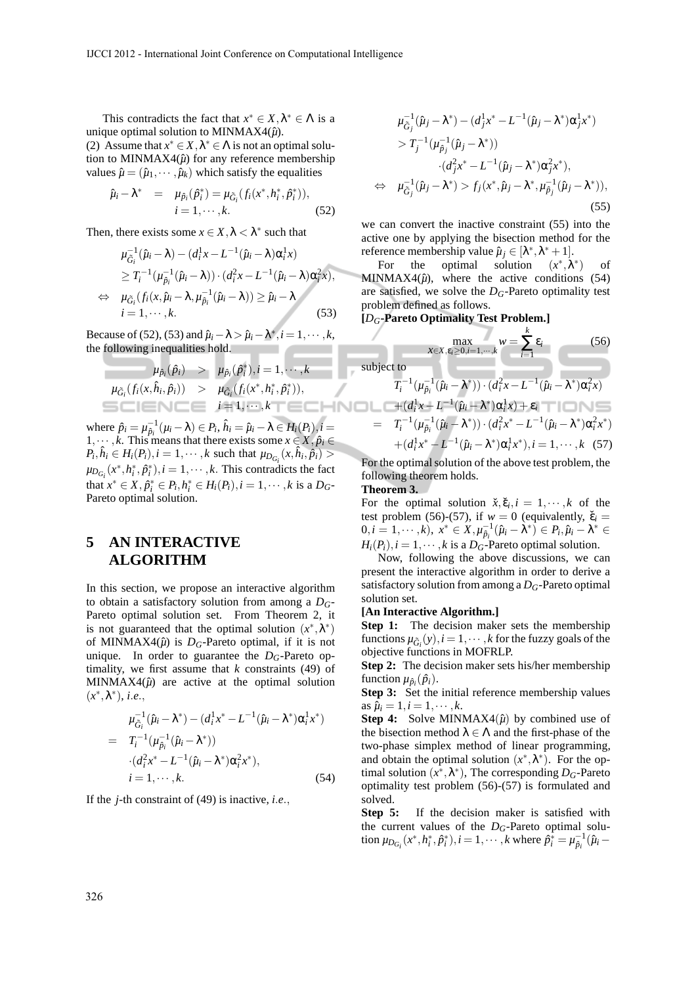This contradicts the fact that  $x^* \in X, \lambda^* \in \Lambda$  is a unique optimal solution to MINMAX4( $\hat{\mu}$ ).

(2) Assume that  $x^* \in X$ ,  $\lambda^* \in \Lambda$  is not an optimal solution to MINMAX4 $(\hat{\mu})$  for any reference membership values  $\hat{\mu} = (\hat{\mu}_1, \dots, \hat{\mu}_k)$  which satisfy the equalities

$$
\hat{\mu}_i - \lambda^* = \mu_{\hat{p}_i}(\hat{p}_i^*) = \mu_{\tilde{G}_i}(f_i(x^*, h_i^*, \hat{p}_i^*)), \n i = 1, \cdots, k.
$$
\n(52)

Then, there exists some  $x \in X, \lambda < \lambda^*$  such that

$$
\mu_{\tilde{G}_i}^{-1}(\hat{\mu}_i - \lambda) - (d_i^1 x - L^{-1}(\hat{\mu}_i - \lambda)\alpha_i^1 x)
$$
\n
$$
\geq T_i^{-1}(\mu_{\hat{\mu}_i}^{-1}(\hat{\mu}_i - \lambda)) \cdot (d_i^2 x - L^{-1}(\hat{\mu}_i - \lambda)\alpha_i^2 x),
$$
\n
$$
\Leftrightarrow \mu_{\tilde{G}_i}(f_i(x, \hat{\mu}_i - \lambda, \mu_{\hat{\mu}_i}^{-1}(\hat{\mu}_i - \lambda)) \geq \hat{\mu}_i - \lambda
$$
\n
$$
i = 1, \cdots, k.
$$
\n(53)

Because of (52), (53) and  $\hat{\mu}_i - \lambda > \hat{\mu}_i - \lambda^*, i = 1, \dots, k$ , the following inequalities hold.

$$
\mu_{\hat{p}_i}(\hat{p}_i) > \mu_{\hat{p}_i}(\hat{p}_i^*), i = 1, \cdots, k
$$
  

$$
\mu_{\tilde{G}_i}(f_i(x, \hat{h}_i, \hat{p}_i)) > \mu_{\tilde{G}_i}(f_i(x^*, h_i^*, \hat{p}_i^*)),
$$
  

$$
i = 1, \cdots, k
$$

where  $\hat{p}_i = \mu_{\hat{p}_i}^{-1}(\mu_i - \lambda) \in P_i$ ,  $\hat{h}_i = \hat{\mu}_i - \lambda \in H_i(P_i)$ ,  $i =$ 1,  $\cdots$  *k*. This means that there exists some  $x \in X$ ,  $\hat{p}_i \in$  $P_i, \hat{h}_i \in H_i(P_i), i = 1, \dots, k$  such that  $\mu_{D_{G_i}}(x, \hat{h}_i, \hat{p}_i)$  $\mu_{D_{G_i}}(x^*, h_i^*, \hat{p}_i^*)$ ,  $i = 1, \dots, k$ . This contradicts the fact that  $x^* \in X$ ,  $\hat{p}_i^* \in P_i$ ,  $h_i^* \in H_i(P_i)$ ,  $i = 1, \dots, k$  is a  $D_G$ -Pareto optimal solution.

## **5 AN INTERACTIVE ALGORITHM**

In this section, we propose an interactive algorithm to obtain a satisfactory solution from among a *DG*-Pareto optimal solution set. From Theorem 2, it is not guaranteed that the optimal solution  $(x^*, \lambda^*)$ of MINMAX4 $(\hat{\mu})$  is  $D_G$ -Pareto optimal, if it is not unique. In order to guarantee the  $D<sub>G</sub>$ -Pareto optimality, we first assume that *k* constraints (49) of MINMAX4 $(\hat{\mu})$  are active at the optimal solution (*x* ∗ ,λ ∗ ), *i*.*e*.,

$$
\mu_{\tilde{G}_i}^{-1}(\hat{\mu}_i - \lambda^*) - (d_i^1 x^* - L^{-1}(\hat{\mu}_i - \lambda^*) \alpha_i^1 x^*)
$$
  
=  $T_i^{-1}(\mu_{\hat{p}_i}^{-1}(\hat{\mu}_i - \lambda^*))$   
 $\cdot (d_i^2 x^* - L^{-1}(\hat{\mu}_i - \lambda^*) \alpha_i^2 x^*),$   
 $i = 1, \dots, k.$  (54)

If the *j*-th constraint of (49) is inactive, *i*.*e*.,

$$
\mu_{\tilde{G}_j}^{-1}(\hat{\mu}_j - \lambda^*) - (d_j^1 x^* - L^{-1}(\hat{\mu}_j - \lambda^*) \alpha_j^1 x^*)
$$
  
>  $T_j^{-1}(\mu_{\hat{p}_j}^{-1}(\hat{\mu}_j - \lambda^*))$   
 $\cdot (d_j^2 x^* - L^{-1}(\hat{\mu}_j - \lambda^*) \alpha_j^2 x^*),$   
 $\Leftrightarrow \mu_{\tilde{G}_j}^{-1}(\hat{\mu}_j - \lambda^*) > f_j(x^*, \hat{\mu}_j - \lambda^*, \mu_{\hat{p}_j}^{-1}(\hat{\mu}_j - \lambda^*)),$ \n(55)

we can convert the inactive constraint (55) into the active one by applying the bisection method for the reference membership value  $\hat{\mu}_j \in [\lambda^*, \lambda^* + 1]$ .

For the optimal solution ∗ ,λ ∗ ) of MINMAX4 $(\hat{\mu})$ , where the active conditions (54) are satisfied, we solve the  $D<sub>G</sub>$ -Pareto optimality test problem defined as follows.

### **[***DG***-Pareto Optimality Test Problem.]**

$$
\max_{x \in X, \varepsilon_i \ge 0, i=1, \cdots, k} w = \sum_{i=1}^k \varepsilon_i
$$
\nsubject to

\n
$$
T_i^{-1}(\mu_{\hat{p}_i}^{-1}(\hat{\mu}_i - \lambda^*)) \cdot (d_i^2 x - L^{-1}(\hat{\mu}_i - \lambda^*) \alpha_i^2 x)
$$
\n
$$
+ (d_i^1 x - L^{-1}(\hat{\mu}_i - \lambda^*) \alpha_i^1 x) + \varepsilon_i
$$
\n
$$
= T_i^{-1}(\mu_{\hat{p}_i}^{-1}(\hat{\mu}_i - \lambda^*)) \cdot (d_i^2 x^* - L^{-1}(\hat{\mu}_i - \lambda^*) \alpha_i^2 x^*)
$$
\n
$$
+ (d_i^1 x^* - L^{-1}(\hat{\mu}_i - \lambda^*) \alpha_i^1 x^*), i = 1, \cdots, k \quad (57)
$$

For the optimal solution of the above test problem, the following theorem holds.

#### **Theorem 3.**

HNC

For the optimal solution  $\check{x}, \check{\epsilon}_i, i = 1, \dots, k$  of the test problem (56)-(57), if  $w = 0$  (equivalently,  $\check{\varepsilon}_i =$  $(0,i=1,\cdots,k),\; x^*\in X, \mu_{\hat{\rho}_i}^{-1}(\hat{\mu}_i-\hat{\lambda}^*)\in P_i, \hat{\mu}_i-\lambda^*\in \mathbb{R}$  $H_i(P_i)$ ,  $i = 1, \dots, k$  is a *D<sub>G</sub>*-Pareto optimal solution.

Now, following the above discussions, we can present the interactive algorithm in order to derive a satisfactory solution from among a *DG*-Pareto optimal solution set.

#### **[An Interactive Algorithm.]**

**Step 1:** The decision maker sets the membership functions  $\mu_{\tilde{G}_i}(y)$ ,  $i = 1, \dots, k$  for the fuzzy goals of the objective functions in MOFRLP.

**Step 2:** The decision maker sets his/her membership function  $\mu_{\hat{p}_i}(\hat{p}_i)$ .

**Step 3:** Set the initial reference membership values as  $\hat{\mu}_i = 1, i = 1, \cdots, k$ .

**Step 4:** Solve MINMAX4 $(\hat{\mu})$  by combined use of the bisection method  $\lambda \in \Lambda$  and the first-phase of the two-phase simplex method of linear programming, and obtain the optimal solution  $(x^*, \lambda^*)$ . For the optimal solution  $(x^*, \lambda^*)$ , The corresponding  $D_G$ -Pareto optimality test problem (56)-(57) is formulated and solved.

**Step 5:** If the decision maker is satisfied with the current values of the  $D_G$ -Pareto optimal solution  $\mu_{D_{G_i}}(x^*, h_i^*, \hat{p}_i^*), i = 1, \dots, k$  where  $\hat{p}_i^* = \mu_{\hat{p}_i}^{-1}(\hat{\mu}_i -$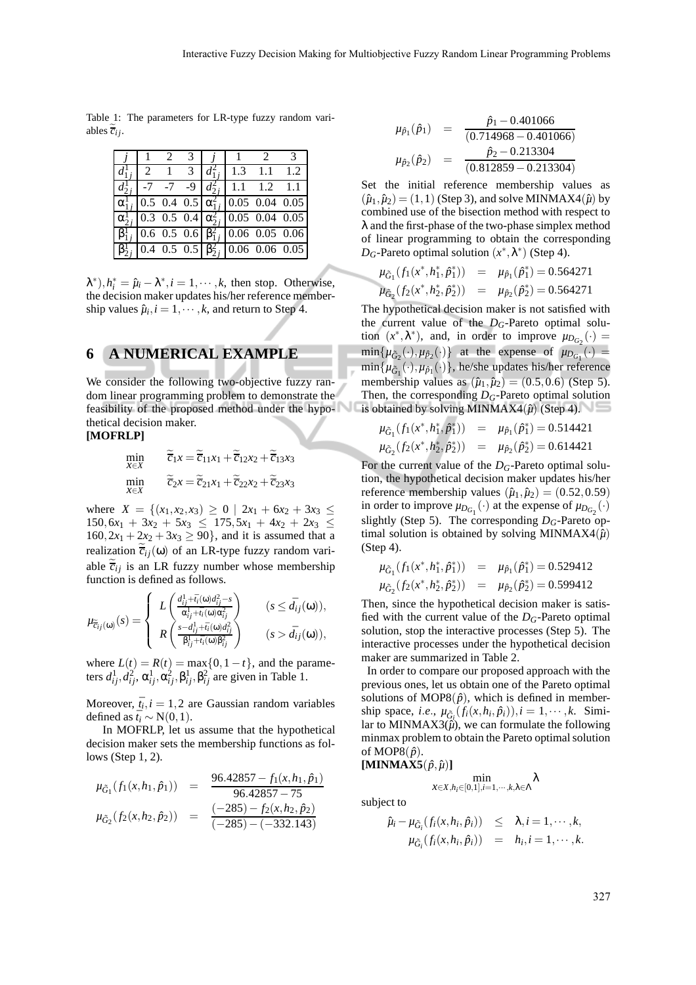Table 1: The parameters for LR-type fuzzy random variables  $\overline{c_i}$ *i*.

| $\frac{1}{2}$   2   1 | $\overline{3}$ |  | $l_{1i}^2$   1.3 1.1 1.2                                             |  |
|-----------------------|----------------|--|----------------------------------------------------------------------|--|
|                       |                |  | $l_{2i}^1$ -7 -7 -9 $ d_{2i}^2 $ 1.1 1.2 1.1                         |  |
|                       |                |  | $\alpha_{1i}^{1}$   0.5 0.4 0.5   $\alpha_{1i}^{2}$   0.05 0.04 0.05 |  |
|                       |                |  | $\alpha_{2i}^{1}$   0.3 0.5 0.4   $\alpha_{2i}^{2}$   0.05 0.04 0.05 |  |
|                       |                |  | $3_{1i}^1$   0.6 0.5 0.6   $\beta_{1i}^2$   0.06 0.05 0.06           |  |
|                       |                |  | $3_{2i}^{1} 0.4 \t0.5 \t0.5  \beta_{2i}^{2} 0.06 \t0.06 \t0.05 $     |  |

 $\lambda^*$ ,  $h_i^* = \hat{\mu}_i - \lambda^*, i = 1, \dots, k$ , then stop. Otherwise, the decision maker updates his/her reference membership values  $\hat{\mu}_i$ ,  $i = 1, \dots, k$ , and return to Step 4.

## **6 A NUMERICAL EXAMPLE**

We consider the following two-objective fuzzy random linear programming problem to demonstrate the feasibility of the proposed method under the hypothetical decision maker.

$$
[MOFRLP]
$$

$$
\min_{X \in X} \qquad \overline{\tilde{c}}_1 x = \overline{\tilde{c}}_{11} x_1 + \overline{\tilde{c}}_{12} x_2 + \overline{\tilde{c}}_{13} x_3
$$
\n
$$
\min_{X \in X} \qquad \widetilde{\tilde{c}}_2 x = \widetilde{\tilde{c}}_{21} x_1 + \widetilde{\tilde{c}}_{22} x_2 + \widetilde{\tilde{c}}_{23} x_3
$$

where  $X = \{(x_1, x_2, x_3) \ge 0 \mid 2x_1 + 6x_2 + 3x_3 \le$  $150,6x_1 + 3x_2 + 5x_3 \leq 175,5x_1 + 4x_2 + 2x_3$  $160, 2x_1 + 2x_2 + 3x_3 \ge 90$ , and it is assumed that a realization  $\overline{c}_{ij}(\omega)$  of an LR-type fuzzy random variable  $\overline{c}_{ij}$  is an LR fuzzy number whose membership function is defined as follows.

$$
\mu_{\widetilde{e}_{ij}(\omega)}(s) = \begin{cases} L\left(\frac{d_{ij}^1 + \bar{t}_i(\omega)d_{ij}^2 - s}{\alpha_{ij}^1 + \bar{t}_i(\omega)\alpha_{ij}^2}\right) & (s \le \bar{d}_{ij}(\omega)), \\ R\left(\frac{s - d_{ij}^1 + \bar{t}_i(\omega)d_{ij}^2}{\beta_{ij}^1 + \bar{t}_i(\omega)\beta_{ij}^2}\right) & (s > \bar{d}_{ij}(\omega)), \end{cases}
$$

where  $L(t) = R(t) = \max\{0, 1 - t\}$ , and the parameters  $d_{ij}^1$ , $d_{ij}^2$ ,  $\alpha_{ij}^1$ ,  $\alpha_{ij}^2$ ,  $\beta_{ij}^1$ ,  $\beta_{ij}^2$  are given in Table 1.

Moreover,  $\bar{t}_i$ ,  $i = 1, 2$  are Gaussian random variables defined as  $\bar{t}_i \sim N(0,1)$ .

In MOFRLP, let us assume that the hypothetical decision maker sets the membership functions as follows (Step 1, 2).

$$
\mu_{\tilde{G}_1}(f_1(x, h_1, \hat{p}_1)) = \frac{96.42857 - f_1(x, h_1, \hat{p}_1)}{96.42857 - 75}
$$
\n
$$
\mu_{\tilde{G}_2}(f_2(x, h_2, \hat{p}_2)) = \frac{(-285) - f_2(x, h_2, \hat{p}_2)}{(-285) - (-332.143)}
$$

$$
\mu_{\hat{p}_1}(\hat{p}_1) = \frac{\hat{p}_1 - 0.401066}{(0.714968 - 0.401066)}
$$

$$
\mu_{\hat{p}_2}(\hat{p}_2) = \frac{\hat{p}_2 - 0.213304}{(0.812859 - 0.213304)}
$$

Set the initial reference membership values as  $(\hat{\mu}_1, \hat{\mu}_2) = (1, 1)$  (Step 3), and solve MINMAX4( $\hat{\mu}$ ) by combined use of the bisection method with respect to λ and the first-phase of the two-phase simplex method of linear programming to obtain the corresponding *D<sub>G</sub>*-Pareto optimal solution  $(x^*, \lambda^*)$  (Step 4).

$$
\mu_{\tilde{G}_1}(f_1(x^*, h_1^*, \hat{p}_1^*)) = \mu_{\hat{p}_1}(\hat{p}_1^*) = 0.564271
$$
  

$$
\mu_{\tilde{G}_2}(f_2(x^*, h_2^*, \hat{p}_2^*)) = \mu_{\hat{p}_2}(\hat{p}_2^*) = 0.564271
$$

The hypothetical decision maker is not satisfied with the current value of the *DG*-Pareto optimal solution  $(x^*, \lambda^*)$ , and, in order to improve  $\mu_{D_{G_2}}(\cdot)$  =  $\min\{\mu_{\tilde{G}_2}(\cdot), \mu_{\hat{p}_2}(\cdot)\}\$  at the expense of  $\mu_{D_{G_1}}(\cdot)$  =  $\min\{\mu_{\tilde{G}_1}(\cdot),\mu_{\hat{p}_1}(\cdot)\}\text{, he/she updates his/her reference}$ membership values as  $(\hat{\mu}_1, \hat{\mu}_2) = (0.5, 0.6)$  (Step 5). Then, the corresponding *DG*-Pareto optimal solution is obtained by solving MINMAX4 $(\hat{\mu})$  (Step 4).

$$
\mu_{\tilde{G}_1}(f_1(x^*, h_1^*, \hat{p}_1^*)) = \mu_{\hat{p}_1}(\hat{p}_1^*) = 0.514421 \n\mu_{\tilde{G}_2}(f_2(x^*, h_2^*, \hat{p}_2^*)) = \mu_{\hat{p}_2}(\hat{p}_2^*) = 0.614421
$$

For the current value of the  $D<sub>G</sub>$ -Pareto optimal solution, the hypothetical decision maker updates his/her reference membership values  $(\hat{\mu}_1, \hat{\mu}_2) = (0.52, 0.59)$ in order to improve  $\mu_{D_{G_1}}(\cdot)$  at the expense of  $\mu_{D_{G_2}}(\cdot)$ slightly (Step 5). The corresponding  $D_G$ -Pareto optimal solution is obtained by solving MINMAX4 $(\hat{\mu})$ (Step 4).

$$
\mu_{\tilde{G}_1}(f_1(x^*, h_1^*, \hat{p}_1^*)) = \mu_{\hat{p}_1}(\hat{p}_1^*) = 0.529412
$$
  

$$
\mu_{\tilde{G}_2}(f_2(x^*, h_2^*, \hat{p}_2^*)) = \mu_{\hat{p}_2}(\hat{p}_2^*) = 0.599412
$$

Then, since the hypothetical decision maker is satisfied with the current value of the  $D<sub>G</sub>$ -Pareto optimal solution, stop the interactive processes (Step 5). The interactive processes under the hypothetical decision maker are summarized in Table 2.

In order to compare our proposed approach with the previous ones, let us obtain one of the Pareto optimal solutions of MOP8 $(\hat{p})$ , which is defined in membership space, *i.e.*,  $\mu_{\tilde{G}_i}(f_i(x, h_i, \hat{p}_i)), i = 1, \dots, k$ . Similar to MINMAX3 $(\hat{\mu})$ , we can formulate the following minmax problem to obtain the Pareto optimal solution of MOP8 $(\hat{p})$ .

$$
[\textbf{MINMAX5}(\hat{p}, \hat{\mu})]
$$

$$
\min_{\mathcal{X} \in X, h_i \in [0,1], i=1,\cdots,k, \lambda \in \Lambda} \lambda
$$

subject to

$$
\hat{\mu}_i - \mu_{\tilde{G}_i}(f_i(x, h_i, \hat{p}_i)) \leq \lambda, i = 1, \cdots, k,
$$
  

$$
\mu_{\tilde{G}_i}(f_i(x, h_i, \hat{p}_i)) = h_i, i = 1, \cdots, k.
$$